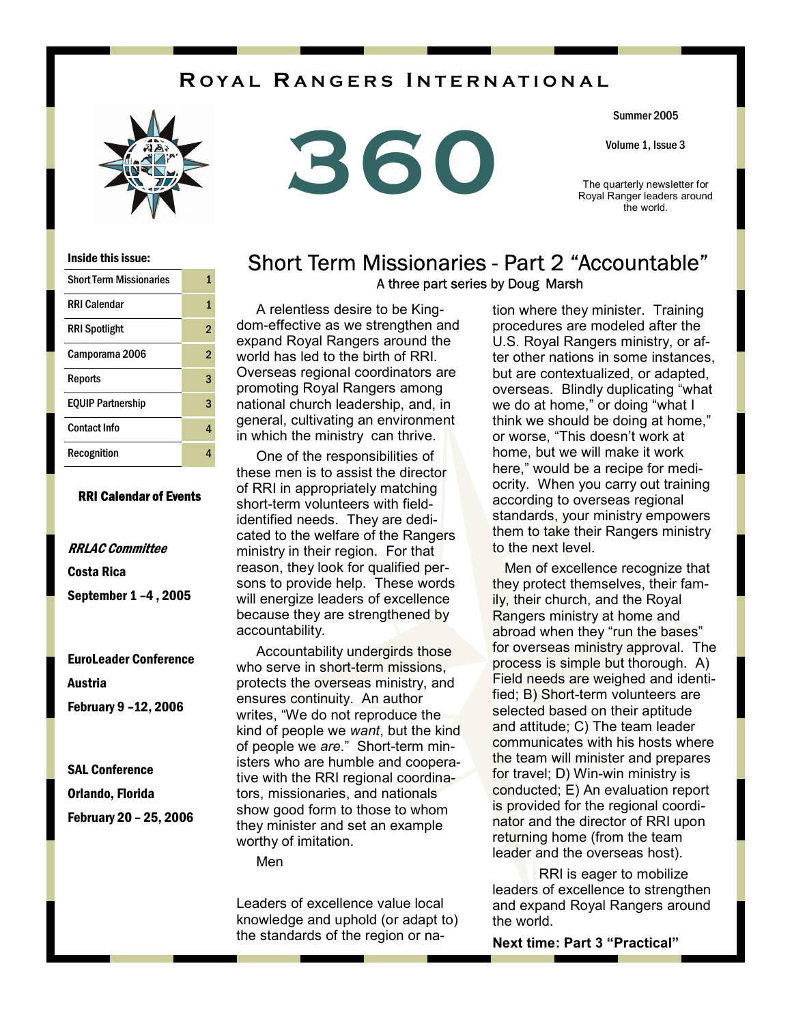## **R OYAL R ANGERS I NTERNATIONAL**





Summer 2005

Volume 1, Issue 3

The quarterly newsletter for Royal Ranger leaders around the world.

#### Inside this issue:

| <b>Short Term Missionaries</b> | 1              |
|--------------------------------|----------------|
| <b>RRI Calendar</b>            | 1              |
| <b>RRI Spotlight</b>           | $\overline{2}$ |
| Camporama 2006                 | $\overline{2}$ |
| Reports                        | 3              |
| <b>EQUIP Partnership</b>       | 3              |
| <b>Contact Info</b>            | 4              |
| Recognition                    | 4              |

### RRI Calendar of Events

## RRLAC Committee Costa Rica September 1 –4 , 2005

EuroLeader Conference Austria

February 9 –12, 2006

SAL Conference

Orlando, Florida

February 20 – 25, 2006

### Short Term Missionaries - Part 2 "Accountable" A three part series by Doug Marsh

 A relentless desire to be Kingdom-effective as we strengthen and expand Royal Rangers around the world has led to the birth of RRI. Overseas regional coordinators are promoting Royal Rangers among national church leadership, and, in general, cultivating an environment in which the ministry can thrive.

 One of the responsibilities of these men is to assist the director of RRI in appropriately matching short-term volunteers with fieldidentified needs. They are dedicated to the welfare of the Rangers ministry in their region. For that reason, they look for qualified persons to provide help. These words will energize leaders of excellence because they are strengthened by accountability.

 Accountability undergirds those who serve in short-term missions, protects the overseas ministry, and ensures continuity. An author writes, "We do not reproduce the kind of people we *want*, but the kind of people we *are*." Short-term ministers who are humble and cooperative with the RRI regional coordinators, missionaries, and nationals show good form to those to whom they minister and set an example worthy of imitation.

Men

Leaders of excellence value local knowledge and uphold (or adapt to) the standards of the region or na-

tion where they minister. Training procedures are modeled after the U.S. Royal Rangers ministry, or after other nations in some instances, but are contextualized, or adapted, overseas. Blindly duplicating "what we do at home," or doing "what I think we should be doing at home," or worse, "This doesn't work at home, but we will make it work here," would be a recipe for mediocrity. When you carry out training according to overseas regional standards, your ministry empowers them to take their Rangers ministry to the next level.

 Men of excellence recognize that they protect themselves, their family, their church, and the Royal Rangers ministry at home and abroad when they "run the bases" for overseas ministry approval. The process is simple but thorough. A) Field needs are weighed and identified; B) Short-term volunteers are selected based on their aptitude and attitude; C) The team leader communicates with his hosts where the team will minister and prepares for travel; D) Win-win ministry is conducted; E) An evaluation report is provided for the regional coordinator and the director of RRI upon returning home (from the team leader and the overseas host).

 RRI is eager to mobilize leaders of excellence to strengthen and expand Royal Rangers around the world.

**Next time: Part 3 "Practical"**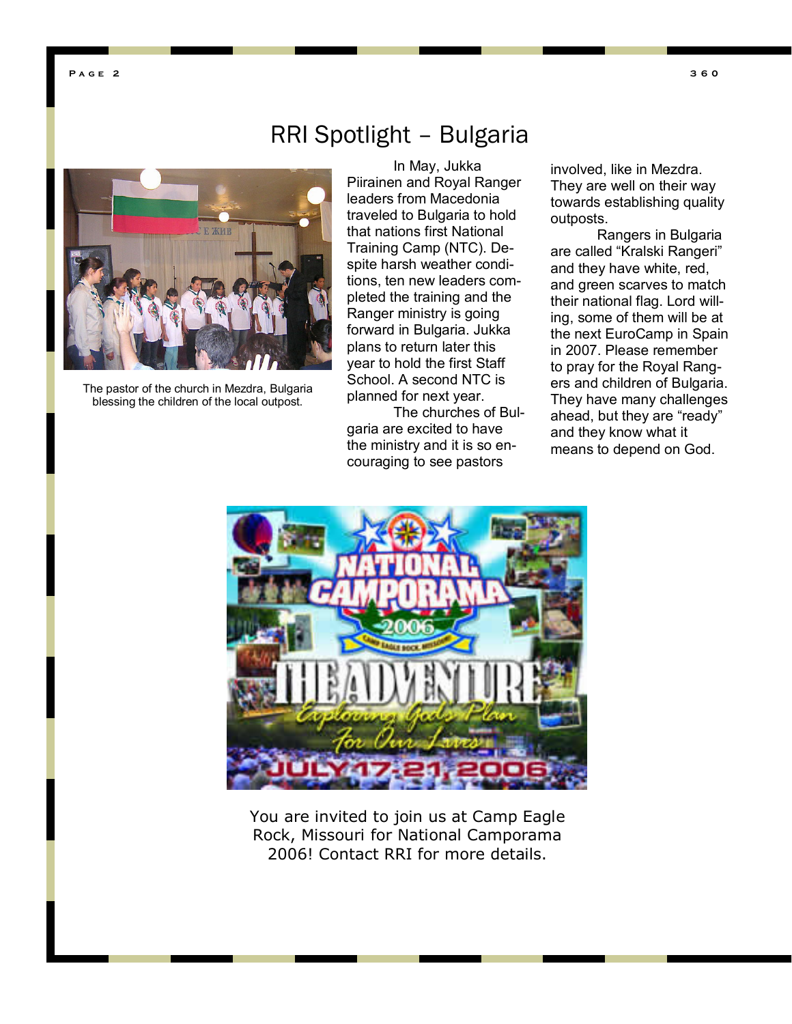**Page 2** 



The pastor of the church in Mezdra, Bulgaria blessing the children of the local outpost.

# RRI Spotlight – Bulgaria

 In May, Jukka Piirainen and Royal Ranger leaders from Macedonia traveled to Bulgaria to hold that nations first National Training Camp (NTC). Despite harsh weather conditions, ten new leaders completed the training and the Ranger ministry is going forward in Bulgaria. Jukka plans to return later this year to hold the first Staff School. A second NTC is planned for next year.

 The churches of Bulgaria are excited to have the ministry and it is so encouraging to see pastors

involved, like in Mezdra. They are well on their way towards establishing quality outposts.

 Rangers in Bulgaria are called "Kralski Rangeri" and they have white, red, and green scarves to match their national flag. Lord willing, some of them will be at the next EuroCamp in Spain in 2007. Please remember to pray for the Royal Rangers and children of Bulgaria. They have many challenges ahead, but they are "ready" and they know what it means to depend on God.



You are invited to join us at Camp Eagle Rock, Missouri for National Camporama 2006! Contact RRI for more details.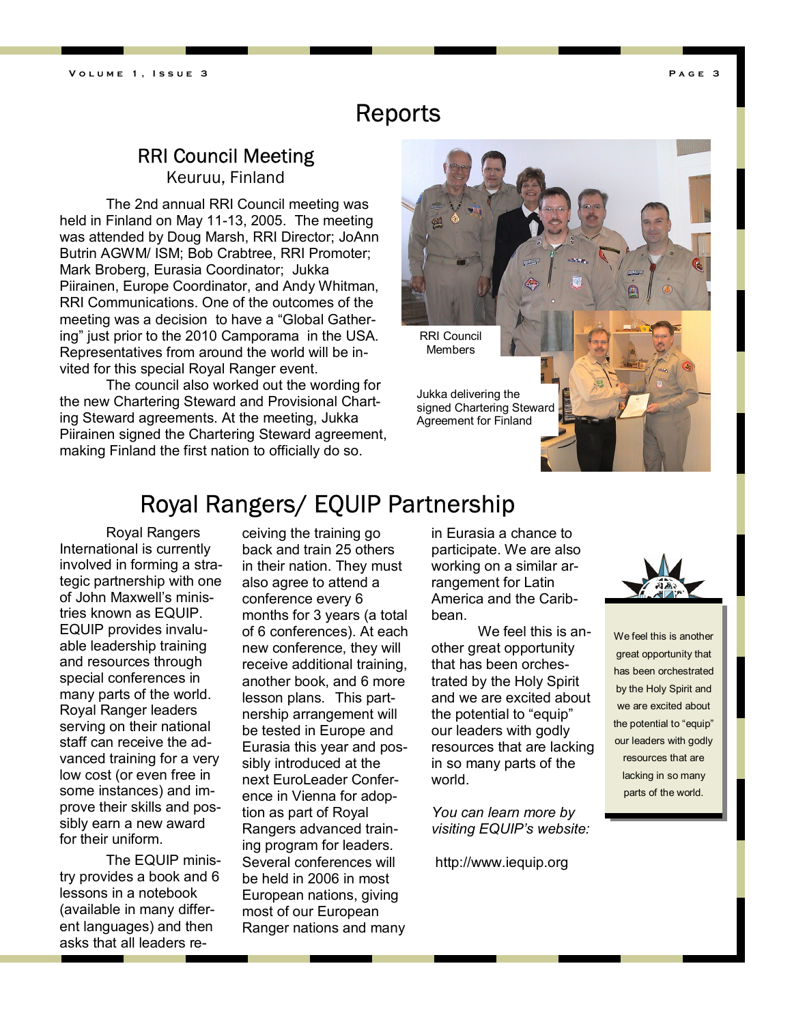# Reports

## RRI Council Meeting

Keuruu, Finland

 The 2nd annual RRI Council meeting was held in Finland on May 11-13, 2005. The meeting was attended by Doug Marsh, RRI Director; JoAnn Butrin AGWM/ ISM; Bob Crabtree, RRI Promoter; Mark Broberg, Eurasia Coordinator; Jukka Piirainen, Europe Coordinator, and Andy Whitman, RRI Communications. One of the outcomes of the meeting was a decision to have a "Global Gathering" just prior to the 2010 Camporama in the USA. Representatives from around the world will be invited for this special Royal Ranger event.

 The council also worked out the wording for the new Chartering Steward and Provisional Charting Steward agreements. At the meeting, Jukka Piirainen signed the Chartering Steward agreement, making Finland the first nation to officially do so.



# Royal Rangers/ EQUIP Partnership

 Royal Rangers International is currently involved in forming a strategic partnership with one of John Maxwell's ministries known as EQUIP. EQUIP provides invaluable leadership training and resources through special conferences in many parts of the world. Royal Ranger leaders serving on their national staff can receive the advanced training for a very low cost (or even free in some instances) and improve their skills and possibly earn a new award for their uniform.

 The EQUIP ministry provides a book and 6 lessons in a notebook (available in many different languages) and then asks that all leaders receiving the training go back and train 25 others in their nation. They must also agree to attend a conference every 6 months for 3 years (a total of 6 conferences). At each new conference, they will receive additional training, another book, and 6 more lesson plans. This partnership arrangement will be tested in Europe and Eurasia this year and possibly introduced at the next EuroLeader Conference in Vienna for adoption as part of Royal Rangers advanced training program for leaders. Several conferences will be held in 2006 in most European nations, giving most of our European Ranger nations and many

in Eurasia a chance to participate. We are also working on a similar arrangement for Latin America and the Caribbean.

 We feel this is another great opportunity that has been orchestrated by the Holy Spirit and we are excited about the potential to "equip" our leaders with godly resources that are lacking in so many parts of the world.

*You can learn more by visiting EQUIP's website:* 

http://www.iequip.org



We feel this is another great opportunity that has been orchestrated by the Holy Spirit and we are excited about the potential to "equip" our leaders with godly resources that are lacking in so many parts of the world.